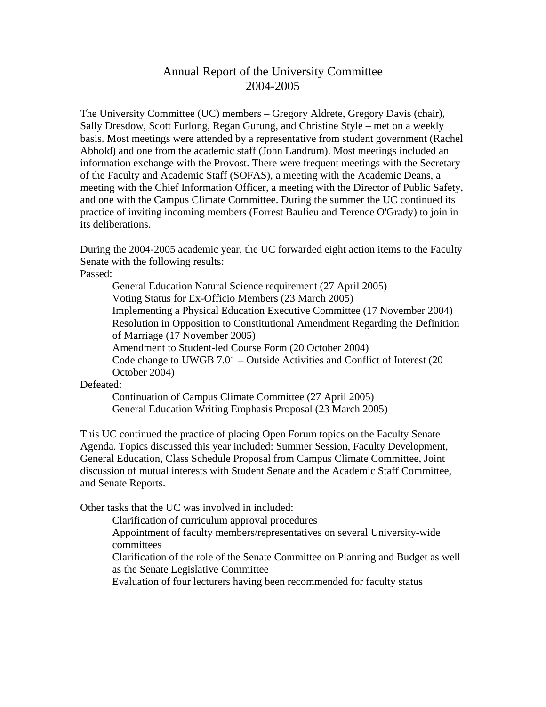## Annual Report of the University Committee 2004-2005

The University Committee (UC) members – Gregory Aldrete, Gregory Davis (chair), Sally Dresdow, Scott Furlong, Regan Gurung, and Christine Style – met on a weekly basis. Most meetings were attended by a representative from student government (Rachel Abhold) and one from the academic staff (John Landrum). Most meetings included an information exchange with the Provost. There were frequent meetings with the Secretary of the Faculty and Academic Staff (SOFAS), a meeting with the Academic Deans, a meeting with the Chief Information Officer, a meeting with the Director of Public Safety, and one with the Campus Climate Committee. During the summer the UC continued its practice of inviting incoming members (Forrest Baulieu and Terence O'Grady) to join in its deliberations.

During the 2004-2005 academic year, the UC forwarded eight action items to the Faculty Senate with the following results:

Passed:

General Education Natural Science requirement (27 April 2005) Voting Status for Ex-Officio Members (23 March 2005) Implementing a Physical Education Executive Committee (17 November 2004) Resolution in Opposition to Constitutional Amendment Regarding the Definition of Marriage (17 November 2005) Amendment to Student-led Course Form (20 October 2004) Code change to UWGB 7.01 – Outside Activities and Conflict of Interest (20 October 2004)

## Defeated:

Continuation of Campus Climate Committee (27 April 2005) General Education Writing Emphasis Proposal (23 March 2005)

This UC continued the practice of placing Open Forum topics on the Faculty Senate Agenda. Topics discussed this year included: Summer Session, Faculty Development, General Education, Class Schedule Proposal from Campus Climate Committee, Joint discussion of mutual interests with Student Senate and the Academic Staff Committee, and Senate Reports.

Other tasks that the UC was involved in included:

Clarification of curriculum approval procedures Appointment of faculty members/representatives on several University-wide committees Clarification of the role of the Senate Committee on Planning and Budget as well as the Senate Legislative Committee

Evaluation of four lecturers having been recommended for faculty status